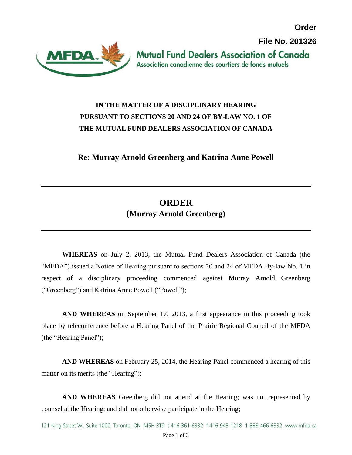**Order**

**File No. 201326**



**Mutual Fund Dealers Association of Canada** Association canadienne des courtiers de fonds mutuels

## **IN THE MATTER OF A DISCIPLINARY HEARING PURSUANT TO SECTIONS 20 AND 24 OF BY-LAW NO. 1 OF THE MUTUAL FUND DEALERS ASSOCIATION OF CANADA**

**Re: Murray Arnold Greenberg and Katrina Anne Powell**

## **ORDER (Murray Arnold Greenberg)**

**WHEREAS** on July 2, 2013, the Mutual Fund Dealers Association of Canada (the "MFDA") issued a Notice of Hearing pursuant to sections 20 and 24 of MFDA By-law No. 1 in respect of a disciplinary proceeding commenced against Murray Arnold Greenberg ("Greenberg") and Katrina Anne Powell ("Powell");

**AND WHEREAS** on September 17, 2013, a first appearance in this proceeding took place by teleconference before a Hearing Panel of the Prairie Regional Council of the MFDA (the "Hearing Panel");

**AND WHEREAS** on February 25, 2014, the Hearing Panel commenced a hearing of this matter on its merits (the "Hearing");

**AND WHEREAS** Greenberg did not attend at the Hearing; was not represented by counsel at the Hearing; and did not otherwise participate in the Hearing;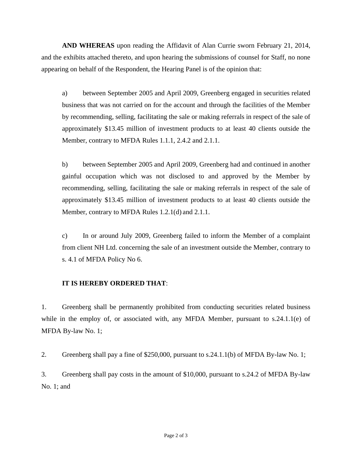**AND WHEREAS** upon reading the Affidavit of Alan Currie sworn February 21, 2014, and the exhibits attached thereto, and upon hearing the submissions of counsel for Staff, no none appearing on behalf of the Respondent, the Hearing Panel is of the opinion that:

a) between September 2005 and April 2009, Greenberg engaged in securities related business that was not carried on for the account and through the facilities of the Member by recommending, selling, facilitating the sale or making referrals in respect of the sale of approximately \$13.45 million of investment products to at least 40 clients outside the Member, contrary to MFDA Rules 1.1.1, 2.4.2 and 2.1.1.

b) between September 2005 and April 2009, Greenberg had and continued in another gainful occupation which was not disclosed to and approved by the Member by recommending, selling, facilitating the sale or making referrals in respect of the sale of approximately \$13.45 million of investment products to at least 40 clients outside the Member, contrary to MFDA Rules 1.2.1(d) and 2.1.1.

c) In or around July 2009, Greenberg failed to inform the Member of a complaint from client NH Ltd. concerning the sale of an investment outside the Member, contrary to s. 4.1 of MFDA Policy No 6.

## **IT IS HEREBY ORDERED THAT**:

1. Greenberg shall be permanently prohibited from conducting securities related business while in the employ of, or associated with, any MFDA Member, pursuant to s.24.1.1(e) of MFDA By-law No. 1;

2. Greenberg shall pay a fine of \$250,000, pursuant to s.24.1.1(b) of MFDA By-law No. 1;

3. Greenberg shall pay costs in the amount of \$10,000, pursuant to s.24.2 of MFDA By-law No. 1; and